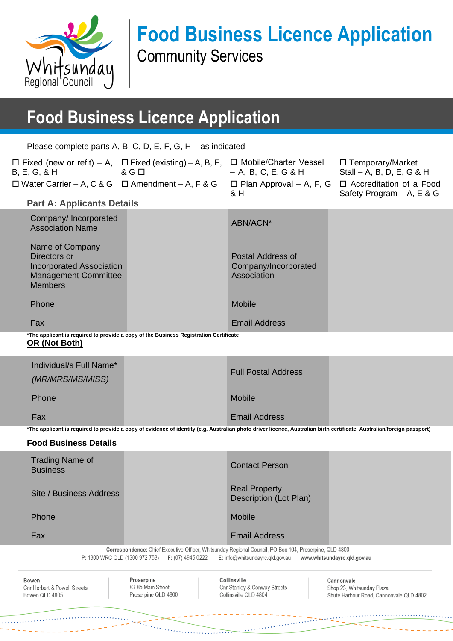

# **Food Business Licence Application**

Community Services

# **Food Business Licence Application**

Please complete parts A, B, C, D, E, F, G, H – as indicated

| $\Box$ Fixed (new or refit) – A, $\Box$ Fixed (existing) – A, B, E, $\Box$ Mobile/Charter Vessel<br>$\alpha$ and $\alpha$ G $\Box$<br>$B, E, G, \& H$ |                                                                                       | $-$ A, B, C, E, G & H                                    | □ Temporary/Market<br>Stall – A, B, D, E, G & H                |
|-------------------------------------------------------------------------------------------------------------------------------------------------------|---------------------------------------------------------------------------------------|----------------------------------------------------------|----------------------------------------------------------------|
| $\Box$ Water Carrier – A, C & G $\Box$ Amendment – A, F & G                                                                                           |                                                                                       | $\Box$ Plan Approval – A, F, G<br>& H                    | $\Box$ Accreditation of a Food<br>Safety Program $- A$ , E & G |
| <b>Part A: Applicants Details</b>                                                                                                                     |                                                                                       |                                                          |                                                                |
| Company/Incorporated<br><b>Association Name</b>                                                                                                       |                                                                                       | ABN/ACN*                                                 |                                                                |
| Name of Company<br>Directors or<br><b>Incorporated Association</b><br><b>Management Committee</b><br><b>Members</b>                                   |                                                                                       | Postal Address of<br>Company/Incorporated<br>Association |                                                                |
| Phone                                                                                                                                                 |                                                                                       | <b>Mobile</b>                                            |                                                                |
| Fax                                                                                                                                                   |                                                                                       | <b>Email Address</b>                                     |                                                                |
| OR (Not Both)                                                                                                                                         | *The applicant is required to provide a copy of the Business Registration Certificate |                                                          |                                                                |

| Phone<br>Fax            | <b>Mobile</b><br><b>Email Address</b> |  |
|-------------------------|---------------------------------------|--|
| (MR/MRS/MS/MISS)        |                                       |  |
| Individual/s Full Name* | <b>Full Postal Address</b>            |  |

**\*The applicant is required to provide a copy of evidence of identity (e.g. Australian photo driver licence, Australian birth certificate, Australian/foreign passport)**

#### **Food Business Details**

| Trading Name of<br><b>Business</b> | <b>Contact Person</b>                                                                                                                                                                                                |                             |
|------------------------------------|----------------------------------------------------------------------------------------------------------------------------------------------------------------------------------------------------------------------|-----------------------------|
| Site / Business Address            | <b>Real Property</b><br>Description (Lot Plan)                                                                                                                                                                       |                             |
| <b>Phone</b>                       | Mobile                                                                                                                                                                                                               |                             |
| Fax                                | <b>Email Address</b>                                                                                                                                                                                                 |                             |
|                                    | Correspondence: Chief Executive Officer, Whitsunday Regional Council, PO Box 104, Proserpine, QLD 4800<br><b>P:</b> 1300 WRC QLD (1300 972 753) <b>F:</b> (07) 4945 0222<br>$E: \text{info@whitsundayrc,qld.gov.au}$ | www.whitsundayrc.gld.gov.au |

Bowen Cnr Herbert & Powell Streets Bowen QLD 4805

Proserpine 83-85 Main Street Proserpine QLD 4800

Collinsville Cnr Stanley & Conway Streets Collinsville QLD 4804

Cannonvale Shop 23, Whitsunday Plaza Shute Harbour Road, Cannonvale QLD 4802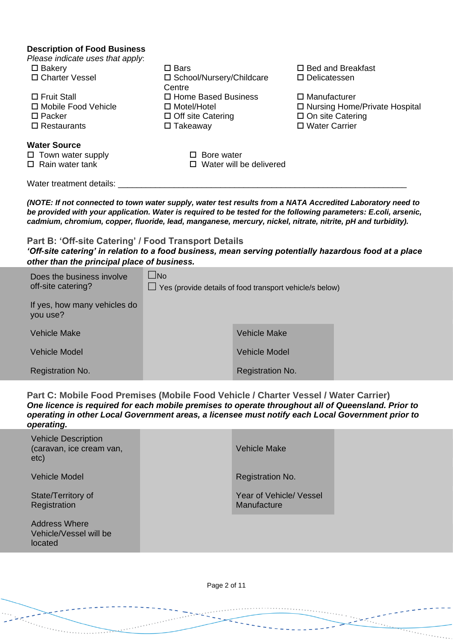| <b>Description of Food Business</b><br>Please indicate uses that apply:<br>$\square$ Bakery<br>□ Charter Vessel<br>$\Box$ Fruit Stall<br>□ Mobile Food Vehicle<br>$\square$ Packer                                                                                                                                                            | $\square$ Bars<br>□ School/Nursery/Childcare<br>Centre<br>□ Home Based Business<br>$\Box$ Motel/Hotel<br>$\Box$ Off site Catering | □ Delicatessen                                                 | $\Box$ Bed and Breakfast<br>$\Box$ Manufacturer<br>□ Nursing Home/Private Hospital<br>$\square$ On site Catering<br>□ Water Carrier |
|-----------------------------------------------------------------------------------------------------------------------------------------------------------------------------------------------------------------------------------------------------------------------------------------------------------------------------------------------|-----------------------------------------------------------------------------------------------------------------------------------|----------------------------------------------------------------|-------------------------------------------------------------------------------------------------------------------------------------|
| $\Box$ Restaurants<br><b>Water Source</b>                                                                                                                                                                                                                                                                                                     | $\Box$ Takeaway                                                                                                                   |                                                                |                                                                                                                                     |
| $\Box$ Town water supply<br>$\Box$ Rain water tank                                                                                                                                                                                                                                                                                            | $\Box$ Bore water                                                                                                                 | $\Box$ Water will be delivered                                 |                                                                                                                                     |
| Water treatment details: ___________                                                                                                                                                                                                                                                                                                          |                                                                                                                                   |                                                                |                                                                                                                                     |
| (NOTE: If not connected to town water supply, water test results from a NATA Accredited Laboratory need to<br>be provided with your application. Water is required to be tested for the following parameters: E.coli, arsenic,<br>cadmium, chromium, copper, fluoride, lead, manganese, mercury, nickel, nitrate, nitrite, pH and turbidity). |                                                                                                                                   |                                                                |                                                                                                                                     |
| Part B: 'Off-site Catering' / Food Transport Details<br>'Off-site catering' in relation to a food business, mean serving potentially hazardous food at a place<br>other than the principal place of business.                                                                                                                                 |                                                                                                                                   |                                                                |                                                                                                                                     |
| Does the business involve<br>off-site catering?                                                                                                                                                                                                                                                                                               | $\Box$ No                                                                                                                         | $\Box$ Yes (provide details of food transport vehicle/s below) |                                                                                                                                     |
| If yes, how many vehicles do<br>you use?                                                                                                                                                                                                                                                                                                      |                                                                                                                                   |                                                                |                                                                                                                                     |
| <b>Vehicle Make</b>                                                                                                                                                                                                                                                                                                                           |                                                                                                                                   | <b>Vehicle Make</b>                                            |                                                                                                                                     |
| <b>Vehicle Model</b>                                                                                                                                                                                                                                                                                                                          |                                                                                                                                   | <b>Vehicle Model</b>                                           |                                                                                                                                     |
| Registration No.                                                                                                                                                                                                                                                                                                                              |                                                                                                                                   | Registration No.                                               |                                                                                                                                     |
| Part C: Mobile Food Premises (Mobile Food Vehicle / Charter Vessel / Water Carrier)<br>One licence is required for each mobile premises to operate throughout all of Queensland. Prior to<br>operating in other Local Government areas, a licensee must notify each Local Government prior to<br>operating.                                   |                                                                                                                                   |                                                                |                                                                                                                                     |
| <b>Vehicle Description</b><br>(caravan, ice cream van,<br>etc)                                                                                                                                                                                                                                                                                |                                                                                                                                   | <b>Vehicle Make</b>                                            |                                                                                                                                     |

س سر بر دارد.<br>در دارد

State/Territory of **Registration** 

Address Where Vehicle/Vessel will be located

Vehicle Model **Registration No.** 2014

Year of Vehicle/ Vessel Manufacture

. . . . . . . . . . . . .

Page 2 of 11

الماليانية<br>سالمانيا

 $\sim$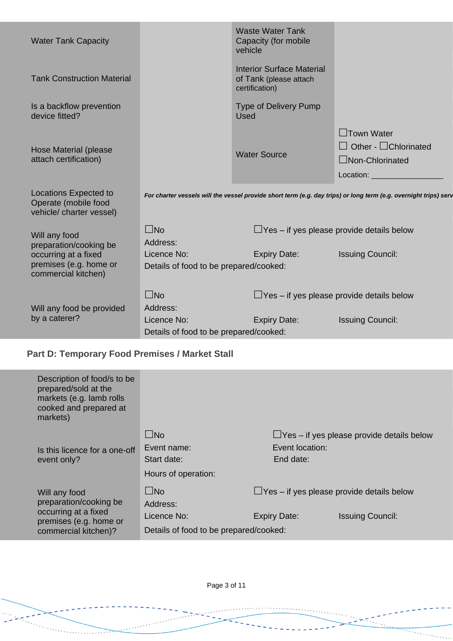| <b>Water Tank Capacity</b>                                                                      |                                                                   | <b>Waste Water Tank</b><br>Capacity (for mobile<br>vehicle                   |                                                                                                                  |
|-------------------------------------------------------------------------------------------------|-------------------------------------------------------------------|------------------------------------------------------------------------------|------------------------------------------------------------------------------------------------------------------|
| <b>Tank Construction Material</b>                                                               |                                                                   | <b>Interior Surface Material</b><br>of Tank (please attach<br>certification) |                                                                                                                  |
| Is a backflow prevention<br>device fitted?                                                      |                                                                   | <b>Type of Delivery Pump</b><br><b>Used</b>                                  |                                                                                                                  |
| Hose Material (please<br>attach certification)                                                  |                                                                   | <b>Water Source</b>                                                          | $\Box$ Town Water<br>$\Box$ Other - $\Box$ Chlorinated<br>$\Box$ Non-Chlorinated<br>Location:                    |
| <b>Locations Expected to</b><br>Operate (mobile food<br>vehicle/ charter vessel)                |                                                                   |                                                                              | For charter vessels will the vessel provide short term (e.g. day trips) or long term (e.g. overnight trips) serv |
| Will any food                                                                                   | $\square$ No                                                      | $\Box$ Yes – if yes please provide details below                             |                                                                                                                  |
| preparation/cooking be<br>occurring at a fixed<br>premises (e.g. home or<br>commercial kitchen) | Address:<br>Licence No:<br>Details of food to be prepared/cooked: | <b>Expiry Date:</b>                                                          | <b>Issuing Council:</b>                                                                                          |
|                                                                                                 | $\square$ No                                                      | $\Box$ Yes – if yes please provide details below                             |                                                                                                                  |
| Will any food be provided<br>by a caterer?                                                      | Address:                                                          |                                                                              |                                                                                                                  |
|                                                                                                 | Licence No:                                                       | <b>Expiry Date:</b>                                                          | <b>Issuing Council:</b>                                                                                          |
|                                                                                                 | Details of food to be prepared/cooked:                            |                                                                              |                                                                                                                  |

### **Part D: Temporary Food Premises / Market Stall**

**The Albert Company** 

| Description of food/s to be<br>prepared/sold at the<br>markets (e.g. lamb rolls<br>cooked and prepared at<br>markets) |                                                                                   |                              |                                                                             |
|-----------------------------------------------------------------------------------------------------------------------|-----------------------------------------------------------------------------------|------------------------------|-----------------------------------------------------------------------------|
| Is this licence for a one-off<br>event only?                                                                          | $\square$ No<br>Event name:<br>Start date:<br>Hours of operation:                 | Event location:<br>End date: | $\Box$ Yes – if yes please provide details below                            |
| Will any food<br>preparation/cooking be<br>occurring at a fixed<br>premises (e.g. home or<br>commercial kitchen)?     | $\square$ No<br>Address:<br>Licence No:<br>Details of food to be prepared/cooked: | <b>Expiry Date:</b>          | $\Box$ Yes – if yes please provide details below<br><b>Issuing Council:</b> |

Page 3 of 11

 $\overline{\cdot}$  .

a a componente de la provincia de la provincia de la provincia de la provincia de la provincia de la provincia<br>La provincia de la provincia de la provincia de la provincia de la provincia de la provincia de la provincia d

 $\overline{\cdots}$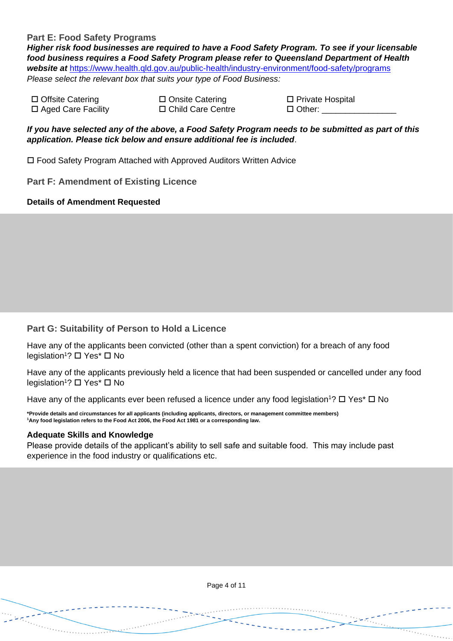#### **Part E: Food Safety Programs**

*Higher risk food businesses are required to have a Food Safety Program. To see if your licensable food business requires a Food Safety Program please refer to Queensland Department of Health website at* <https://www.health.qld.gov.au/public-health/industry-environment/food-safety/programs> *Please select the relevant box that suits your type of Food Business:*

 $\Box$  Offsite Catering  $\Box$  Onsite Catering □ Aged Care Facility □ Child Care Centre

| □ Private Hospital |  |
|--------------------|--|
| $\Box$ Other:      |  |

 $\cdots$ 

 $\mathbb{R}^{n \times n}$ 

 $\overline{\cdots}$ 

*If you have selected any of the above, a Food Safety Program needs to be submitted as part of this application. Please tick below and ensure additional fee is included*.

Food Safety Program Attached with Approved Auditors Written Advice

**Part F: Amendment of Existing Licence** 

#### **Details of Amendment Requested**

#### **Part G: Suitability of Person to Hold a Licence**

Have any of the applicants been convicted (other than a spent conviction) for a breach of any food legislation<sup>1</sup>? □ Yes<sup>\*</sup> □ No

Have any of the applicants previously held a licence that had been suspended or cancelled under any food legislation<sup>1</sup>? □ Yes<sup>\*</sup> □ No

Have any of the applicants ever been refused a licence under any food legislation<sup>1</sup>?  $\Box$  Yes\*  $\Box$  No

**\*Provide details and circumstances for all applicants (including applicants, directors, or management committee members) <sup>1</sup>Any food legislation refers to the Food Act 2006, the Food Act 1981 or a corresponding law.**

#### **Adequate Skills and Knowledge**

 $\frac{1}{2}$ 

Please provide details of the applicant's ability to sell safe and suitable food. This may include past experience in the food industry or qualifications etc.

Page 4 of 11

 $\sqrt{2\pi}$ 

د د د د د د د د د بينهايي بيا بينهايي<br>سيسيا بيا بيا بيا بيا بيا بينهايي

فتنبي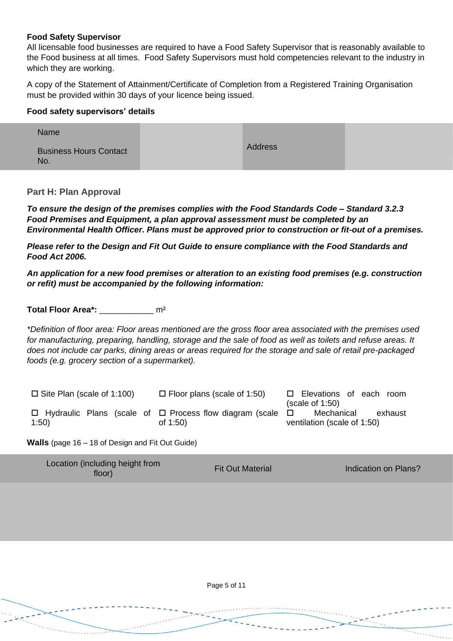#### **Food Safety Supervisor**

All licensable food businesses are required to have a Food Safety Supervisor that is reasonably available to the Food business at all times. Food Safety Supervisors must hold competencies relevant to the industry in which they are working.

A copy of the Statement of Attainment/Certificate of Completion from a Registered Training Organisation must be provided within 30 days of your licence being issued.

#### **Food safety supervisors' details**

| Name                                 |                |  |
|--------------------------------------|----------------|--|
| <b>Business Hours Contact</b><br>No. | <b>Address</b> |  |

**Part H: Plan Approval**

*To ensure the design of the premises complies with the Food Standards Code – Standard 3.2.3 Food Premises and Equipment, a plan approval assessment must be completed by an Environmental Health Officer. Plans must be approved prior to construction or fit-out of a premises.* 

*Please refer to the Design and Fit Out Guide to ensure compliance with the Food Standards and Food Act 2006.*

*An application for a new food premises or alteration to an existing food premises (e.g. construction or refit) must be accompanied by the following information:*

**Total Floor Area\*:** \_\_\_\_\_\_\_\_\_\_\_\_\_ m²

*\*Definition of floor area: Floor areas mentioned are the gross floor area associated with the premises used for manufacturing, preparing, handling, storage and the sale of food as well as toilets and refuse areas. It does not include car parks, dining areas or areas required for the storage and sale of retail pre-packaged foods (e.g. grocery section of a supermarket).*

| $\Box$ Site Plan (scale of 1:100) | $\Box$ Floor plans (scale of 1:50)                                                        | □ Elevations of each room<br>(scale of 1:50)         |
|-----------------------------------|-------------------------------------------------------------------------------------------|------------------------------------------------------|
| 1:50                              | $\Box$ Hydraulic Plans (scale of $\Box$ Process flow diagram (scale $\Box$<br>of $1:50$ ) | Mechanical<br>exhaust<br>ventilation (scale of 1:50) |

**Walls** (page 16 – 18 of Design and Fit Out Guide)

| Location (including height from<br>floor) | <b>Fit Out Material</b> | Indication on Plans? |
|-------------------------------------------|-------------------------|----------------------|
|-------------------------------------------|-------------------------|----------------------|

Page 5 of 11

 $\cdots$  .

e e construcción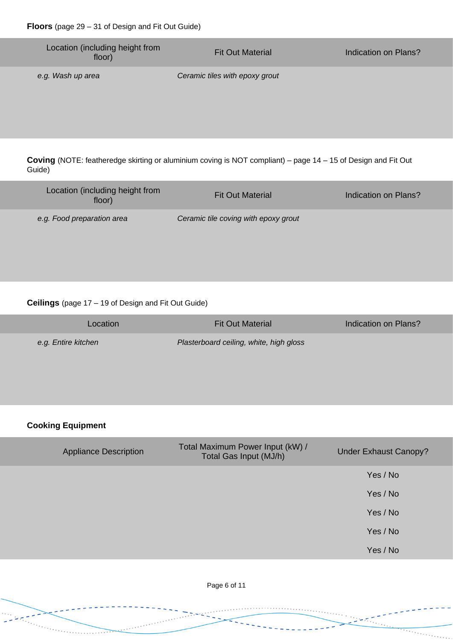| Location (including height from<br>floor) | <b>Fit Out Material</b>        | Indication on Plans? |
|-------------------------------------------|--------------------------------|----------------------|
| e.g. Wash up area                         | Ceramic tiles with epoxy grout |                      |

**Coving** (NOTE: featheredge skirting or aluminium coving is NOT compliant) – page 14 – 15 of Design and Fit Out Guide)

| Location (including height from<br>floor) | <b>Fit Out Material</b>              | Indication on Plans? |
|-------------------------------------------|--------------------------------------|----------------------|
| e.g. Food preparation area                | Ceramic tile coving with epoxy grout |                      |

#### **Ceilings** (page 17 – 19 of Design and Fit Out Guide)

| Location            | <b>Fit Out Material</b>                 | Indication on Plans? |
|---------------------|-----------------------------------------|----------------------|
| e.g. Entire kitchen | Plasterboard ceiling, white, high gloss |                      |

#### **Cooking Equipment**

 $\sim$   $\sim$   $\sim$ 

| <b>Appliance Description</b> | Total Maximum Power Input (kW) /<br>Total Gas Input (MJ/h) | <b>Under Exhaust Canopy?</b> |
|------------------------------|------------------------------------------------------------|------------------------------|
|                              |                                                            | Yes / No                     |
|                              |                                                            | Yes / No                     |
|                              |                                                            | Yes / No                     |
|                              |                                                            | Yes / No                     |
|                              |                                                            | Yes / No                     |

Page 6 of 11

 $\overline{\cdots}$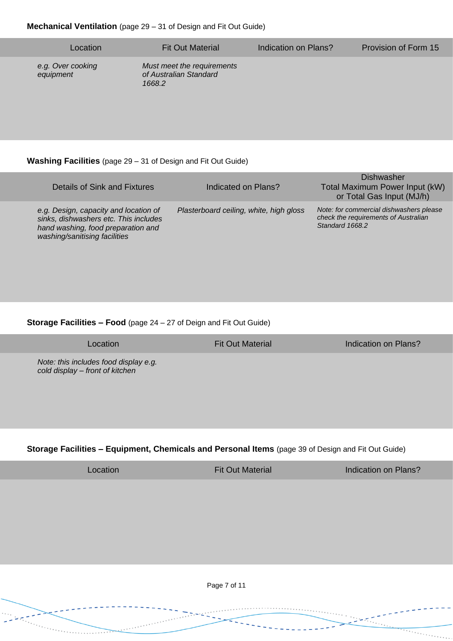| Location                       | <b>Fit Out Material</b>                                        | Indication on Plans? | Provision of Form 15 |
|--------------------------------|----------------------------------------------------------------|----------------------|----------------------|
| e.g. Over cooking<br>equipment | Must meet the requirements<br>of Australian Standard<br>1668.2 |                      |                      |

#### **Washing Facilities** (page 29 – 31 of Design and Fit Out Guide)

| Details of Sink and Fixtures                                                                                                                          | Indicated on Plans?                     | Dishwasher<br>Total Maximum Power Input (kW)<br>or Total Gas Input (MJ/h)                          |
|-------------------------------------------------------------------------------------------------------------------------------------------------------|-----------------------------------------|----------------------------------------------------------------------------------------------------|
| e.g. Design, capacity and location of<br>sinks, dishwashers etc. This includes<br>hand washing, food preparation and<br>washing/sanitising facilities | Plasterboard ceiling, white, high gloss | Note: for commercial dishwashers please<br>check the requirements of Australian<br>Standard 1668.2 |

#### **Storage Facilities – Food** (page 24 – 27 of Deign and Fit Out Guide)

Location **Fit Out Material** Indication on Plans?

*Note: this includes food display e.g. cold display – front of kitchen* 

#### **Storage Facilities – Equipment, Chemicals and Personal Items** (page 39 of Design and Fit Out Guide)

تسبب ساساس<br>پایانها

Location **Fit Out Material** Indication on Plans?

 $\overline{\cdots}$ 

Page 7 of 11

 $\overline{\phantom{a}}$ 

. . . . . . . . . . . . .

بالمعاني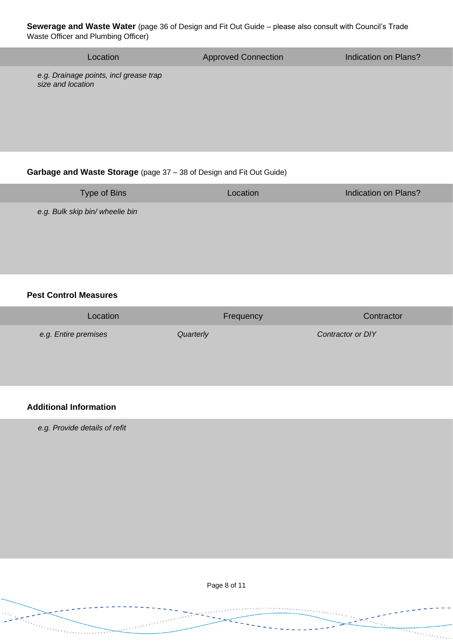**Sewerage and Waste Water** (page 36 of Design and Fit Out Guide – please also consult with Council's Trade Waste Officer and Plumbing Officer)

| Location                                                    | <b>Approved Connection</b> | Indication on Plans? |
|-------------------------------------------------------------|----------------------------|----------------------|
| e.g. Drainage points, incl grease trap<br>size and location |                            |                      |
|                                                             |                            |                      |

#### **Garbage and Waste Storage** (page 37 – 38 of Design and Fit Out Guide)

| <b>Type of Bins</b>             | Location | Indication on Plans? |
|---------------------------------|----------|----------------------|
| e.g. Bulk skip bin/ wheelie bin |          |                      |

#### **Pest Control Measures**

| Location             | Frequency | Contractor        |
|----------------------|-----------|-------------------|
| e.g. Entire premises | Quarterly | Contractor or DIY |

#### **Additional Information**

*e.g. Provide details of refit* 

Page 8 of 11

<u> Territoria de la pro</u>

- Leopold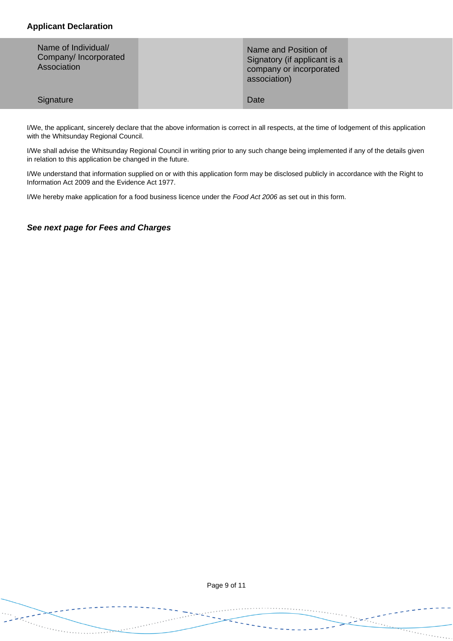#### **Applicant Declaration**

| Name of Individual/<br>Company/Incorporated<br>Association | Name and Position of<br>Signatory (if applicant is a<br>company or incorporated<br>association) |  |
|------------------------------------------------------------|-------------------------------------------------------------------------------------------------|--|
| Signature                                                  | Date                                                                                            |  |

I/We, the applicant, sincerely declare that the above information is correct in all respects, at the time of lodgement of this application with the Whitsunday Regional Council.

I/We shall advise the Whitsunday Regional Council in writing prior to any such change being implemented if any of the details given in relation to this application be changed in the future.

I/We understand that information supplied on or with this application form may be disclosed publicly in accordance with the Right to Information Act 2009 and the Evidence Act 1977.

I/We hereby make application for a food business licence under the *Food Act 2006* as set out in this form.

*See next page for Fees and Charges*

تسبب  Page 9 of 11

 $\cdots$  .

 $\frac{1}{2}$  ,  $\frac{1}{2}$  ,  $\frac{1}{2}$  ,  $\frac{1}{2}$  ,  $\frac{1}{2}$  ,  $\frac{1}{2}$  ,  $\frac{1}{2}$ 

 $\frac{1}{\sqrt{1+\frac{1}{2}+\frac{1}{2}+\frac{1}{2}+\frac{1}{2}+\frac{1}{2}+\frac{1}{2}+\frac{1}{2}+\frac{1}{2}+\frac{1}{2}+\frac{1}{2}+\frac{1}{2}+\frac{1}{2}+\frac{1}{2}+\frac{1}{2}+\frac{1}{2}+\frac{1}{2}+\frac{1}{2}+\frac{1}{2}+\frac{1}{2}+\frac{1}{2}+\frac{1}{2}+\frac{1}{2}+\frac{1}{2}+\frac{1}{2}+\frac{1}{2}+\frac{1}{2}+\frac{1}{2}+\frac{1}{2}+\frac{1}{2}+\frac{1}{2}+\$ 

المسين<br>حراسية المسير

لتنبيل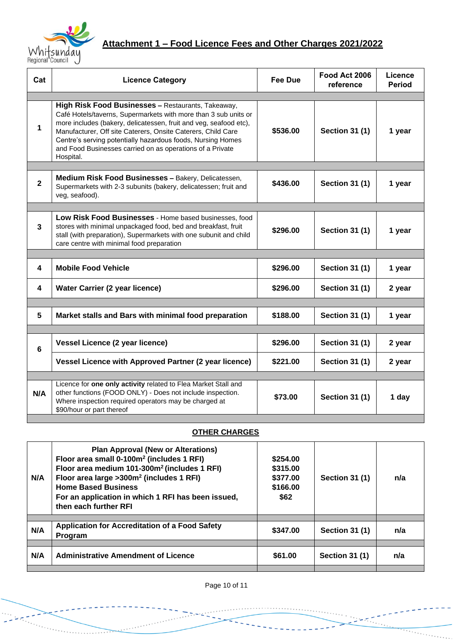

## **Attachment 1 – Food Licence Fees and Other Charges 2021/2022**

| Cat          | <b>Licence Category</b>                                                                                                                                                                                                                                                                                                                                                                             | <b>Fee Due</b> | Food Act 2006<br>reference | <b>Licence</b><br><b>Period</b> |
|--------------|-----------------------------------------------------------------------------------------------------------------------------------------------------------------------------------------------------------------------------------------------------------------------------------------------------------------------------------------------------------------------------------------------------|----------------|----------------------------|---------------------------------|
|              |                                                                                                                                                                                                                                                                                                                                                                                                     |                |                            |                                 |
| 1            | High Risk Food Businesses - Restaurants, Takeaway,<br>Café Hotels/taverns, Supermarkets with more than 3 sub units or<br>more includes (bakery, delicatessen, fruit and veg, seafood etc),<br>Manufacturer, Off site Caterers, Onsite Caterers, Child Care<br>Centre's serving potentially hazardous foods, Nursing Homes<br>and Food Businesses carried on as operations of a Private<br>Hospital. | \$536.00       | <b>Section 31 (1)</b>      | 1 year                          |
|              |                                                                                                                                                                                                                                                                                                                                                                                                     |                |                            |                                 |
| $\mathbf{2}$ | Medium Risk Food Businesses - Bakery, Delicatessen,<br>Supermarkets with 2-3 subunits (bakery, delicatessen; fruit and<br>veg, seafood).                                                                                                                                                                                                                                                            | \$436.00       | <b>Section 31 (1)</b>      | 1 year                          |
|              |                                                                                                                                                                                                                                                                                                                                                                                                     |                |                            |                                 |
| 3            | Low Risk Food Businesses - Home based businesses, food<br>stores with minimal unpackaged food, bed and breakfast, fruit<br>stall (with preparation), Supermarkets with one subunit and child<br>care centre with minimal food preparation                                                                                                                                                           | \$296.00       | <b>Section 31 (1)</b>      | 1 year                          |
|              |                                                                                                                                                                                                                                                                                                                                                                                                     |                |                            |                                 |
| 4            | <b>Mobile Food Vehicle</b>                                                                                                                                                                                                                                                                                                                                                                          | \$296.00       | <b>Section 31 (1)</b>      | 1 year                          |
| 4            | <b>Water Carrier (2 year licence)</b>                                                                                                                                                                                                                                                                                                                                                               | \$296.00       | <b>Section 31 (1)</b>      | 2 year                          |
|              |                                                                                                                                                                                                                                                                                                                                                                                                     |                |                            |                                 |
| 5            | Market stalls and Bars with minimal food preparation                                                                                                                                                                                                                                                                                                                                                | \$188.00       | <b>Section 31 (1)</b>      | 1 year                          |
|              |                                                                                                                                                                                                                                                                                                                                                                                                     |                |                            |                                 |
| 6            | Vessel Licence (2 year licence)                                                                                                                                                                                                                                                                                                                                                                     | \$296.00       | <b>Section 31 (1)</b>      | 2 year                          |
|              | <b>Vessel Licence with Approved Partner (2 year licence)</b>                                                                                                                                                                                                                                                                                                                                        | \$221.00       | <b>Section 31 (1)</b>      | 2 year                          |
|              |                                                                                                                                                                                                                                                                                                                                                                                                     |                |                            |                                 |
| N/A          | Licence for one only activity related to Flea Market Stall and<br>other functions (FOOD ONLY) - Does not include inspection.<br>Where inspection required operators may be charged at<br>\$90/hour or part thereof                                                                                                                                                                                  | \$73.00        | <b>Section 31 (1)</b>      | 1 day                           |

#### **OTHER CHARGES**

| N/A | <b>Plan Approval (New or Alterations)</b><br>Floor area small 0-100m <sup>2</sup> (includes 1 RFI)<br>Floor area medium 101-300m <sup>2</sup> (includes 1 RFI)<br>Floor area large > 300m <sup>2</sup> (includes 1 RFI)<br><b>Home Based Business</b><br>For an application in which 1 RFI has been issued,<br>then each further RFI | \$254,00<br>\$315.00<br>\$377.00<br>\$166.00<br>\$62 | <b>Section 31 (1)</b> | n/a |
|-----|--------------------------------------------------------------------------------------------------------------------------------------------------------------------------------------------------------------------------------------------------------------------------------------------------------------------------------------|------------------------------------------------------|-----------------------|-----|
|     |                                                                                                                                                                                                                                                                                                                                      |                                                      |                       |     |
| N/A | <b>Application for Accreditation of a Food Safety</b><br><b>Program</b>                                                                                                                                                                                                                                                              | \$347.00                                             | <b>Section 31 (1)</b> | n/a |
|     |                                                                                                                                                                                                                                                                                                                                      |                                                      |                       |     |
| N/A | <b>Administrative Amendment of Licence</b>                                                                                                                                                                                                                                                                                           | \$61.00                                              | <b>Section 31 (1)</b> | n/a |
|     |                                                                                                                                                                                                                                                                                                                                      |                                                      |                       |     |

Page 10 of 11

<u>errenan</u>

 $\overline{\phantom{a}}$